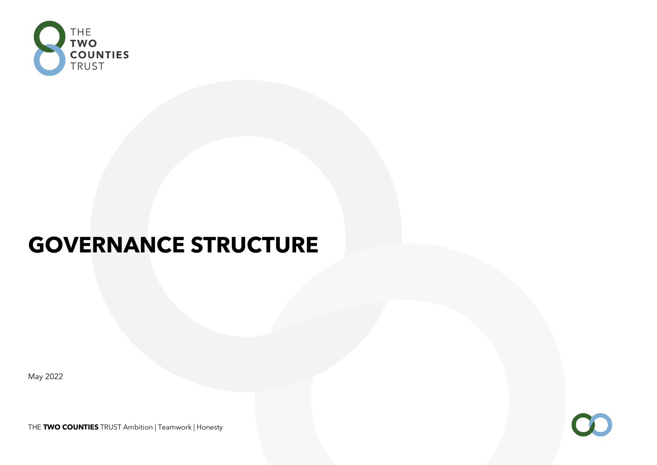

# **GOVERNANCE STRUCTURE**

May 2022

OC.

THE **TWO COUNTIES** TRUST Ambition | Teamwork | Honesty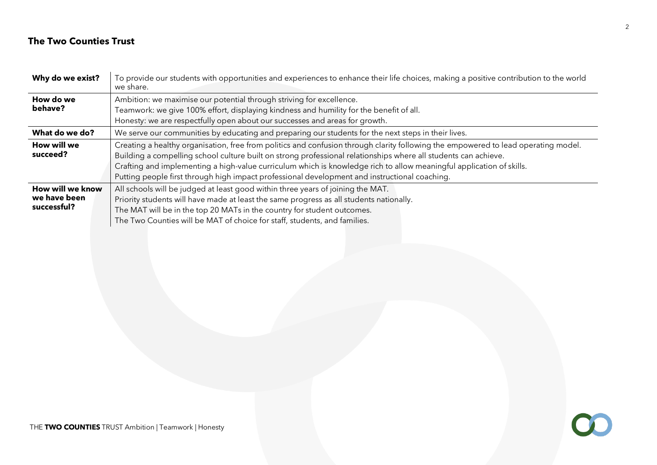# **The Two Counties Trust**

| Why do we exist?                                | To provide our students with opportunities and experiences to enhance their life choices, making a positive contribution to the world<br>we share.                                                                                                                                                                                                                                                                                                                             |  |  |  |  |
|-------------------------------------------------|--------------------------------------------------------------------------------------------------------------------------------------------------------------------------------------------------------------------------------------------------------------------------------------------------------------------------------------------------------------------------------------------------------------------------------------------------------------------------------|--|--|--|--|
| How do we<br>behave?                            | Ambition: we maximise our potential through striving for excellence.<br>Teamwork: we give 100% effort, displaying kindness and humility for the benefit of all.                                                                                                                                                                                                                                                                                                                |  |  |  |  |
|                                                 | Honesty: we are respectfully open about our successes and areas for growth.                                                                                                                                                                                                                                                                                                                                                                                                    |  |  |  |  |
| What do we do?                                  | We serve our communities by educating and preparing our students for the next steps in their lives.                                                                                                                                                                                                                                                                                                                                                                            |  |  |  |  |
| How will we<br>succeed?                         | Creating a healthy organisation, free from politics and confusion through clarity following the empowered to lead operating model.<br>Building a compelling school culture built on strong professional relationships where all students can achieve.<br>Crafting and implementing a high-value curriculum which is knowledge rich to allow meaningful application of skills.<br>Putting people first through high impact professional development and instructional coaching. |  |  |  |  |
| How will we know<br>we have been<br>successful? | All schools will be judged at least good within three years of joining the MAT.<br>Priority students will have made at least the same progress as all students nationally.<br>The MAT will be in the top 20 MATs in the country for student outcomes.<br>The Two Counties will be MAT of choice for staff, students, and families.                                                                                                                                             |  |  |  |  |

 $\bigcirc$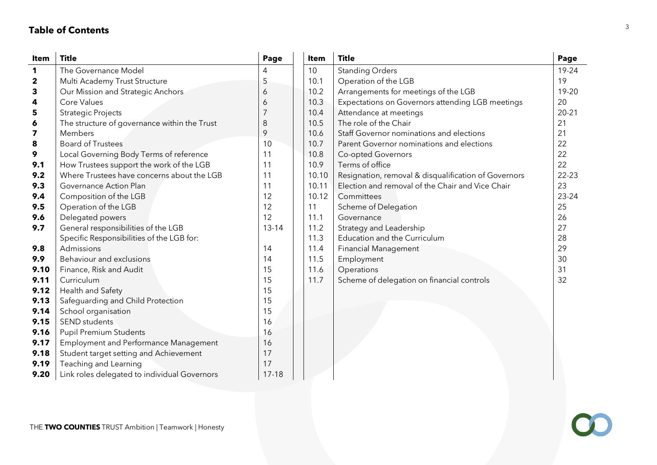# **Table of Contents**

| Item                    | <b>Title</b>                                 | Page      | Item  | <b>Title</b>                                         | Page      |
|-------------------------|----------------------------------------------|-----------|-------|------------------------------------------------------|-----------|
| 1                       | The Governance Model                         |           | 10    | <b>Standing Orders</b>                               | 19-24     |
| $\mathbf 2$             | Multi Academy Trust Structure                | 5         | 10.1  | Operation of the LGB                                 | 19        |
| 3                       | Our Mission and Strategic Anchors            | 6         | 10.2  | Arrangements for meetings of the LGB                 | 19-20     |
| 4                       | Core Values                                  | 6         | 10.3  | Expectations on Governors attending LGB meetings     | 20        |
| 5                       | <b>Strategic Projects</b>                    | 7         | 10.4  | Attendance at meetings                               | $20 - 21$ |
| 6                       | The structure of governance within the Trust | 8         | 10.5  | The role of the Chair                                | 21        |
| $\overline{\mathbf{z}}$ | Members                                      | 9         | 10.6  | Staff Governor nominations and elections             | 21        |
| 8                       | <b>Board of Trustees</b>                     | 10        | 10.7  | Parent Governor nominations and elections            | 22        |
| 9                       | Local Governing Body Terms of reference      | 11        | 10.8  | Co-opted Governors                                   | 22        |
| 9.1                     | How Trustees support the work of the LGB     | 11        | 10.9  | Terms of office                                      | 22        |
| 9.2                     | Where Trustees have concerns about the LGB   | 11        | 10.10 | Resignation, removal & disqualification of Governors | $22 - 23$ |
| 9.3                     | Governance Action Plan                       | 11        | 10.11 | Election and removal of the Chair and Vice Chair     | 23        |
| 9.4                     | Composition of the LGB                       | 12        | 10.12 | Committees                                           | 23-24     |
| 9.5                     | Operation of the LGB                         | 12        | 11    | Scheme of Delegation                                 | 25        |
| 9.6                     | Delegated powers                             | 12        | 11.1  | Governance                                           | 26        |
| 9.7                     | General responsibilities of the LGB          | $13 - 14$ | 11.2  | Strategy and Leadership                              | 27        |
|                         | Specific Responsibilities of the LGB for:    |           | 11.3  | <b>Education and the Curriculum</b>                  | 28        |
| 9.8                     | Admissions                                   | 14        | 11.4  | <b>Financial Management</b>                          | 29        |
| 9.9                     | Behaviour and exclusions                     | 14        | 11.5  | Employment                                           | 30        |
| 9.10                    | Finance, Risk and Audit                      | 15        | 11.6  | Operations                                           | 31        |
| 9.11                    | Curriculum                                   | 15        | 11.7  | Scheme of delegation on financial controls           | 32        |
| 9.12                    | Health and Safety                            | 15        |       |                                                      |           |
| 9.13                    | Safeguarding and Child Protection            | 15        |       |                                                      |           |
| 9.14                    | School organisation                          | 15        |       |                                                      |           |
| 9.15                    | <b>SEND</b> students                         | 16        |       |                                                      |           |
| 9.16                    | <b>Pupil Premium Students</b>                | 16        |       |                                                      |           |
| 9.17                    | <b>Employment and Performance Management</b> | 16        |       |                                                      |           |
| 9.18                    | Student target setting and Achievement       | 17        |       |                                                      |           |
| 9.19                    | Teaching and Learning                        | 17        |       |                                                      |           |
| 9.20                    | Link roles delegated to individual Governors | $17 - 18$ |       |                                                      |           |

 $\alpha$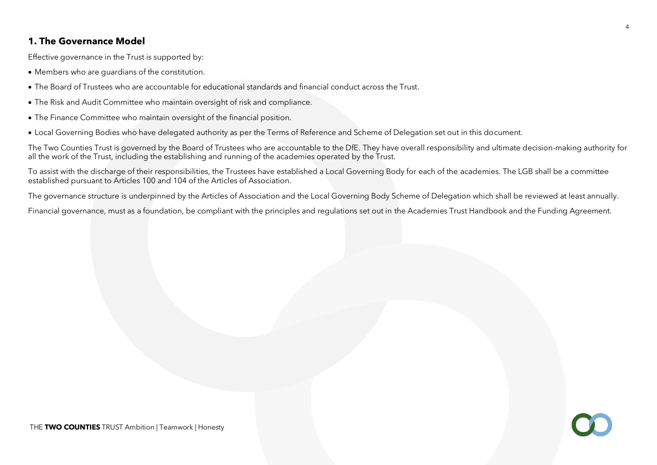# **1. The Governance Model**

Effective governance in the Trust is supported by:

- Members who are guardians of the constitution.
- The Board of Trustees who are accountable for educational standards and financial conduct across the Trust.
- The Risk and Audit Committee who maintain oversight of risk and compliance.
- The Finance Committee who maintain oversight of the financial position.
- Local Governing Bodies who have delegated authority as per the Terms of Reference and Scheme of Delegation set out in this document.

The Two Counties Trust is governed by the Board of Trustees who are accountable to the DfE. They have overall responsibility and ultimate decision-making authority for all the work of the Trust, including the establishing and running of the academies operated by the Trust.

To assist with the discharge of their responsibilities, the Trustees have established a Local Governing Body for each of the academies. The LGB shall be a committee established pursuant to Articles 100 and 104 of the Articles of Association.

The governance structure is underpinned by the Articles of Association and the Local Governing Body Scheme of Delegation which shall be reviewed at least annually.

Financial governance, must as a foundation, be compliant with the principles and regulations set out in the Academies Trust Handbook and the Funding Agreement.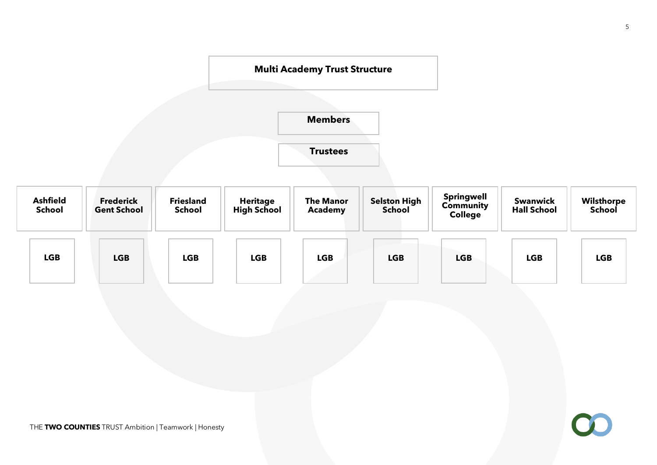

5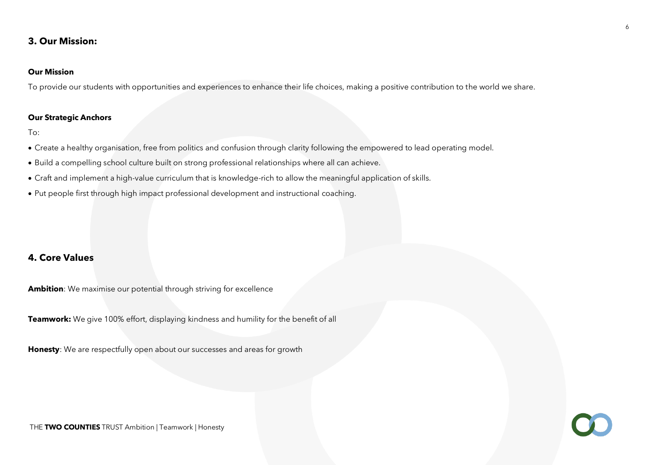# **3. Our Mission:**

# **Our Mission**

To provide our students with opportunities and experiences to enhance their life choices, making a positive contribution to the world we share.

#### **Our Strategic Anchors**

To:

- Create a healthy organisation, free from politics and confusion through clarity following the empowered to lead operating model.
- Build a compelling school culture built on strong professional relationships where all can achieve.
- Craft and implement a high-value curriculum that is knowledge-rich to allow the meaningful application of skills.
- Put people first through high impact professional development and instructional coaching.

# **4. Core Values**

**Ambition**: We maximise our potential through striving for excellence

**Teamwork:** We give 100% effort, displaying kindness and humility for the benefit of all

**Honesty**: We are respectfully open about our successes and areas for growth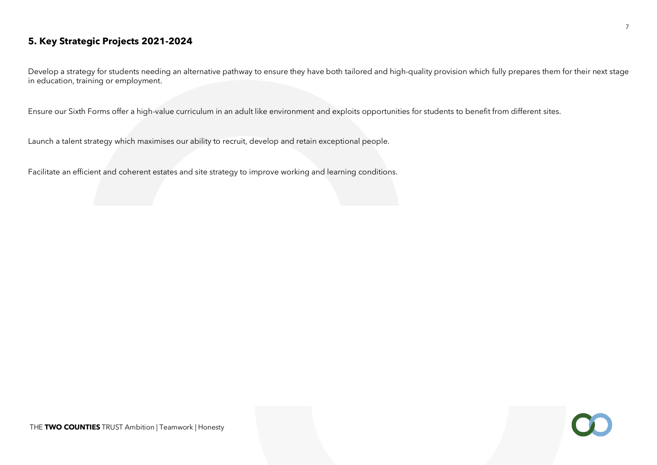# **5. Key Strategic Projects 2021-2024**

Develop a strategy for students needing an alternative pathway to ensure they have both tailored and high-quality provision which fully prepares them for their next stage in education, training or employment.

Ensure our Sixth Forms offer a high-value curriculum in an adult like environment and exploits opportunities for students to benefit from different sites.

Launch a talent strategy which maximises our ability to recruit, develop and retain exceptional people.

Facilitate an efficient and coherent estates and site strategy to improve working and learning conditions.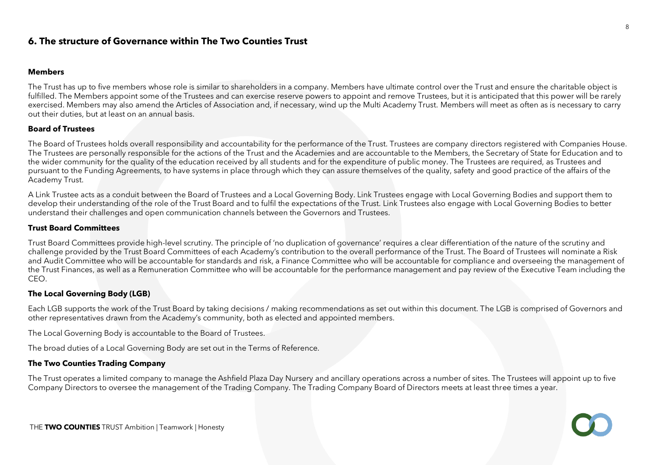# **6. The structure of Governance within The Two Counties Trust**

#### **Members**

The Trust has up to five members whose role is similar to shareholders in a company. Members have ultimate control over the Trust and ensure the charitable object is fulfilled. The Members appoint some of the Trustees and can exercise reserve powers to appoint and remove Trustees, but it is anticipated that this power will be rarely exercised. Members may also amend the Articles of Association and, if necessary, wind up the Multi Academy Trust. Members will meet as often as is necessary to carry out their duties, but at least on an annual basis.

#### **Board of Trustees**

The Board of Trustees holds overall responsibility and accountability for the performance of the Trust. Trustees are company directors registered with Companies House. The Trustees are personally responsible for the actions of the Trust and the Academies and are accountable to the Members, the Secretary of State for Education and to the wider community for the quality of the education received by all students and for the expenditure of public money. The Trustees are required, as Trustees and pursuant to the Funding Agreements, to have systems in place through which they can assure themselves of the quality, safety and good practice of the affairs of the Academy Trust.

A Link Trustee acts as a conduit between the Board of Trustees and a Local Governing Body. Link Trustees engage with Local Governing Bodies and support them to develop their understanding of the role of the Trust Board and to fulfil the expectations of the Trust. Link Trustees also engage with Local Governing Bodies to better understand their challenges and open communication channels between the Governors and Trustees.

#### **Trust Board Committees**

Trust Board Committees provide high-level scrutiny. The principle of 'no duplication of governance' requires a clear differentiation of the nature of the scrutiny and challenge provided by the Trust Board Committees of each Academy's contribution to the overall performance of the Trust. The Board of Trustees will nominate a Risk and Audit Committee who will be accountable for standards and risk, a Finance Committee who will be accountable for compliance and overseeing the management of the Trust Finances, as well as a Remuneration Committee who will be accountable for the performance management and pay review of the Executive Team including the CEO.

## **The Local Governing Body (LGB)**

Each LGB supports the work of the Trust Board by taking decisions / making recommendations as set out within this document. The LGB is comprised of Governors and other representatives drawn from the Academy's community, both as elected and appointed members.

The Local Governing Body is accountable to the Board of Trustees.

The broad duties of a Local Governing Body are set out in the Terms of Reference.

#### **The Two Counties Trading Company**

The Trust operates a limited company to manage the Ashfield Plaza Day Nursery and ancillary operations across a number of sites. The Trustees will appoint up to five Company Directors to oversee the management of the Trading Company. The Trading Company Board of Directors meets at least three times a year.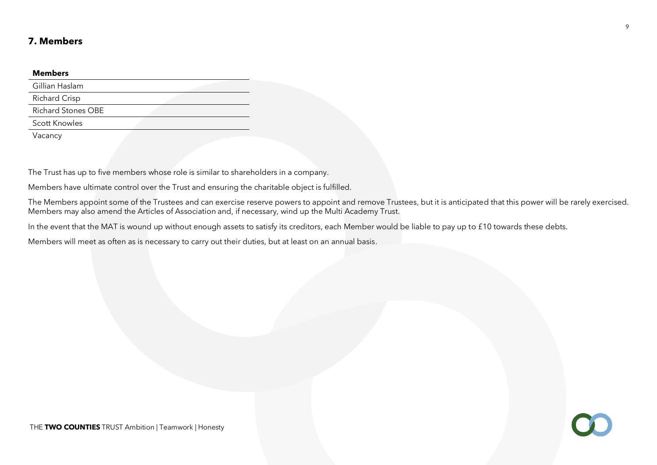# **7. Members**

#### **Members**

| Gillian Haslam            |  |
|---------------------------|--|
| <b>Richard Crisp</b>      |  |
| <b>Richard Stones OBE</b> |  |
| <b>Scott Knowles</b>      |  |
| Vacancv                   |  |

The Trust has up to five members whose role is similar to shareholders in a company.

Members have ultimate control over the Trust and ensuring the charitable object is fulfilled.

The Members appoint some of the Trustees and can exercise reserve powers to appoint and remove Trustees, but it is anticipated that this power will be rarely exercised. Members may also amend the Articles of Association and, if necessary, wind up the Multi Academy Trust.

In the event that the MAT is wound up without enough assets to satisfy its creditors, each Member would be liable to pay up to £10 towards these debts.

Members will meet as often as is necessary to carry out their duties, but at least on an annual basis.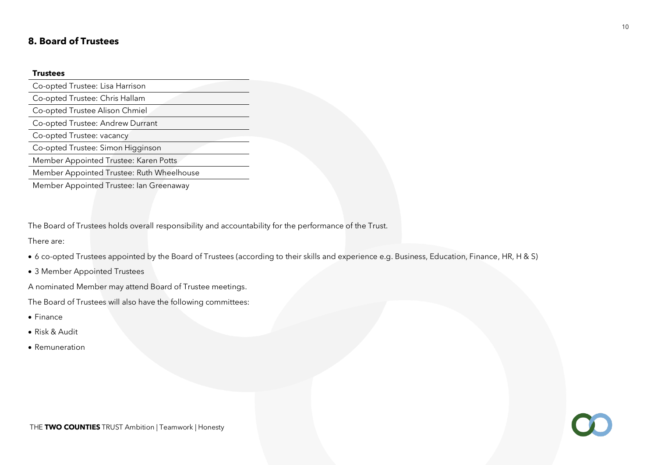# **8. Board of Trustees**

#### **Trustees**

Co-opted Trustee: Lisa Harrison Co-opted Trustee: Chris Hallam Co-opted Trustee Alison Chmiel Co-opted Trustee: Andrew Durrant Co-opted Trustee: vacancy Co-opted Trustee: Simon Higginson Member Appointed Trustee: Karen Potts Member Appointed Trustee: Ruth Wheelhouse

Member Appointed Trustee: Ian Greenaway

The Board of Trustees holds overall responsibility and accountability for the performance of the Trust.

There are:

- 6 co-opted Trustees appointed by the Board of Trustees (according to their skills and experience e.g. Business, Education, Finance, HR, H & S)
- 3 Member Appointed Trustees

A nominated Member may attend Board of Trustee meetings.

The Board of Trustees will also have the following committees:

- Finance
- Risk & Audit
- Remuneration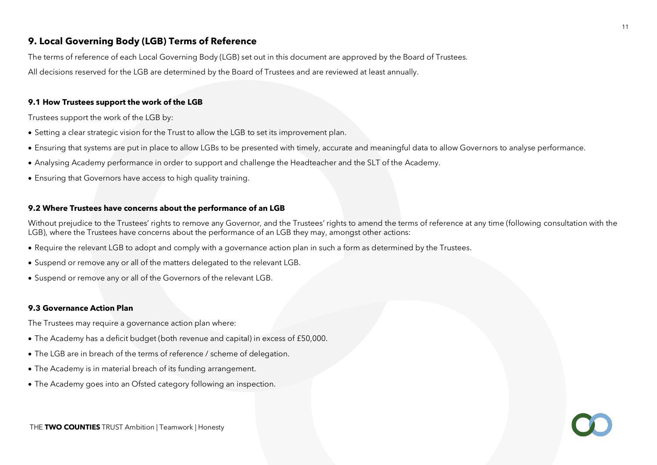# **9. Local Governing Body (LGB) Terms of Reference**

The terms of reference of each Local Governing Body (LGB) set out in this document are approved by the Board of Trustees.

All decisions reserved for the LGB are determined by the Board of Trustees and are reviewed at least annually.

## **9.1 How Trustees support the work of the LGB**

Trustees support the work of the LGB by:

- Setting a clear strategic vision for the Trust to allow the LGB to set its improvement plan.
- Ensuring that systems are put in place to allow LGBs to be presented with timely, accurate and meaningful data to allow Governors to analyse performance.
- Analysing Academy performance in order to support and challenge the Headteacher and the SLT of the Academy.
- Ensuring that Governors have access to high quality training.

#### **9.2 Where Trustees have concerns about the performance of an LGB**

Without prejudice to the Trustees' rights to remove any Governor, and the Trustees' rights to amend the terms of reference at any time (following consultation with the LGB), where the Trustees have concerns about the performance of an LGB they may, amongst other actions:

- Require the relevant LGB to adopt and comply with a governance action plan in such a form as determined by the Trustees.
- Suspend or remove any or all of the matters delegated to the relevant LGB.
- Suspend or remove any or all of the Governors of the relevant LGB.

#### **9.3 Governance Action Plan**

The Trustees may require a governance action plan where:

- The Academy has a deficit budget (both revenue and capital) in excess of £50,000.
- The LGB are in breach of the terms of reference / scheme of delegation.
- The Academy is in material breach of its funding arrangement.
- The Academy goes into an Ofsted category following an inspection.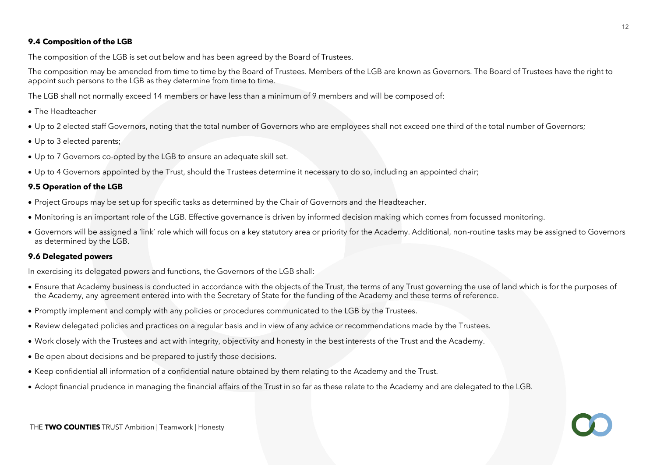# **9.4 Composition of the LGB**

The composition of the LGB is set out below and has been agreed by the Board of Trustees.

The composition may be amended from time to time by the Board of Trustees. Members of the LGB are known as Governors. The Board of Trustees have the right to appoint such persons to the LGB as they determine from time to time.

The LGB shall not normally exceed 14 members or have less than a minimum of 9 members and will be composed of:

- The Headteacher
- Up to 2 elected staff Governors, noting that the total number of Governors who are employees shall not exceed one third of the total number of Governors;
- Up to 3 elected parents;
- Up to 7 Governors co-opted by the LGB to ensure an adequate skill set.
- Up to 4 Governors appointed by the Trust, should the Trustees determine it necessary to do so, including an appointed chair;

# **9.5 Operation of the LGB**

- Project Groups may be set up for specific tasks as determined by the Chair of Governors and the Headteacher.
- Monitoring is an important role of the LGB. Effective governance is driven by informed decision making which comes from focussed monitoring.
- Governors will be assigned a 'link' role which will focus on a key statutory area or priority for the Academy. Additional, non-routine tasks may be assigned to Governors as determined by the LGB.

# **9.6 Delegated powers**

In exercising its delegated powers and functions, the Governors of the LGB shall:

- Ensure that Academy business is conducted in accordance with the objects of the Trust, the terms of any Trust governing the use of land which is for the purposes of the Academy, any agreement entered into with the Secretary of State for the funding of the Academy and these terms of reference.
- Promptly implement and comply with any policies or procedures communicated to the LGB by the Trustees.
- Review delegated policies and practices on a regular basis and in view of any advice or recommendations made by the Trustees.
- Work closely with the Trustees and act with integrity, objectivity and honesty in the best interests of the Trust and the Academy.
- Be open about decisions and be prepared to justify those decisions.
- Keep confidential all information of a confidential nature obtained by them relating to the Academy and the Trust.
- Adopt financial prudence in managing the financial affairs of the Trust in so far as these relate to the Academy and are delegated to the LGB.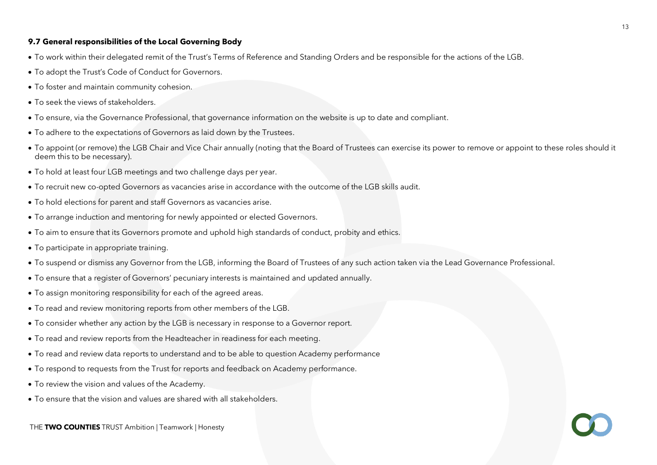#### **9.7 General responsibilities of the Local Governing Body**

- To work within their delegated remit of the Trust's Terms of Reference and Standing Orders and be responsible for the actions of the LGB.
- To adopt the Trust's Code of Conduct for Governors.
- To foster and maintain community cohesion.
- To seek the views of stakeholders.
- To ensure, via the Governance Professional, that governance information on the website is up to date and compliant.
- To adhere to the expectations of Governors as laid down by the Trustees.
- To appoint (or remove) the LGB Chair and Vice Chair annually (noting that the Board of Trustees can exercise its power to remove or appoint to these roles should it deem this to be necessary).
- To hold at least four LGB meetings and two challenge days per year.
- To recruit new co-opted Governors as vacancies arise in accordance with the outcome of the LGB skills audit.
- To hold elections for parent and staff Governors as vacancies arise.
- To arrange induction and mentoring for newly appointed or elected Governors.
- To aim to ensure that its Governors promote and uphold high standards of conduct, probity and ethics.
- To participate in appropriate training.
- To suspend or dismiss any Governor from the LGB, informing the Board of Trustees of any such action taken via the Lead Governance Professional.
- To ensure that a register of Governors' pecuniary interests is maintained and updated annually.
- To assign monitoring responsibility for each of the agreed areas.
- To read and review monitoring reports from other members of the LGB.
- To consider whether any action by the LGB is necessary in response to a Governor report.
- To read and review reports from the Headteacher in readiness for each meeting.
- To read and review data reports to understand and to be able to question Academy performance
- To respond to requests from the Trust for reports and feedback on Academy performance.
- To review the vision and values of the Academy.
- To ensure that the vision and values are shared with all stakeholders.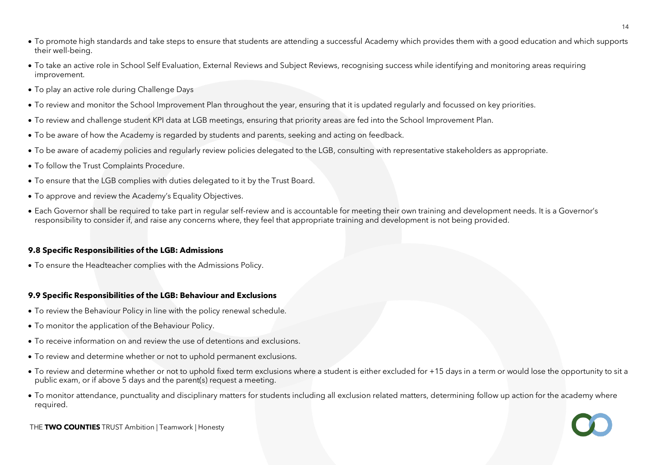- To promote high standards and take steps to ensure that students are attending a successful Academy which provides them with a good education and which supports their well-being.
- To take an active role in School Self Evaluation, External Reviews and Subject Reviews, recognising success while identifying and monitoring areas requiring improvement.
- To play an active role during Challenge Days
- To review and monitor the School Improvement Plan throughout the year, ensuring that it is updated regularly and focussed on key priorities.
- To review and challenge student KPI data at LGB meetings, ensuring that priority areas are fed into the School Improvement Plan.
- To be aware of how the Academy is regarded by students and parents, seeking and acting on feedback.
- To be aware of academy policies and regularly review policies delegated to the LGB, consulting with representative stakeholders as appropriate.
- To follow the Trust Complaints Procedure.
- To ensure that the LGB complies with duties delegated to it by the Trust Board.
- To approve and review the Academy's Equality Objectives.
- Each Governor shall be required to take part in regular self-review and is accountable for meeting their own training and development needs. It is a Governor's responsibility to consider if, and raise any concerns where, they feel that appropriate training and development is not being provided.

# **9.8 Specific Responsibilities of the LGB: Admissions**

• To ensure the Headteacher complies with the Admissions Policy.

# **9.9 Specific Responsibilities of the LGB: Behaviour and Exclusions**

- To review the Behaviour Policy in line with the policy renewal schedule.
- To monitor the application of the Behaviour Policy.
- To receive information on and review the use of detentions and exclusions.
- To review and determine whether or not to uphold permanent exclusions.
- To review and determine whether or not to uphold fixed term exclusions where a student is either excluded for +15 days in a term or would lose the opportunity to sit a public exam, or if above 5 days and the parent(s) request a meeting.
- To monitor attendance, punctuality and disciplinary matters for students including all exclusion related matters, determining follow up action for the academy where required.

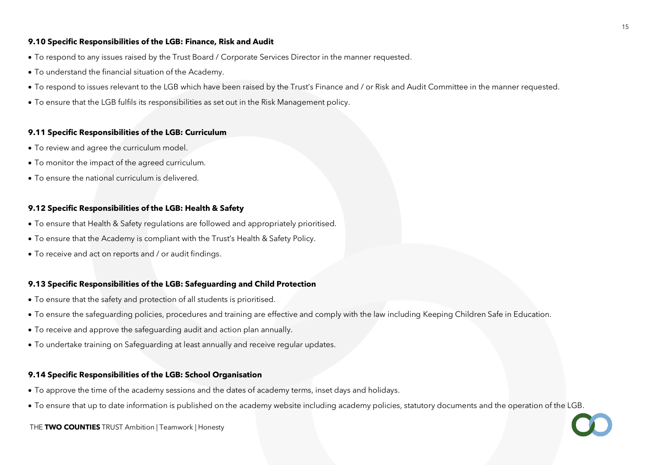### **9.10 Specific Responsibilities of the LGB: Finance, Risk and Audit**

- To respond to any issues raised by the Trust Board / Corporate Services Director in the manner requested.
- To understand the financial situation of the Academy.
- To respond to issues relevant to the LGB which have been raised by the Trust's Finance and / or Risk and Audit Committee in the manner requested.
- To ensure that the LGB fulfils its responsibilities as set out in the Risk Management policy.

## **9.11 Specific Responsibilities of the LGB: Curriculum**

- To review and agree the curriculum model.
- To monitor the impact of the agreed curriculum.
- To ensure the national curriculum is delivered.

# **9.12 Specific Responsibilities of the LGB: Health & Safety**

- To ensure that Health & Safety regulations are followed and appropriately prioritised.
- To ensure that the Academy is compliant with the Trust's Health & Safety Policy.
- To receive and act on reports and / or audit findings.

# **9.13 Specific Responsibilities of the LGB: Safeguarding and Child Protection**

- To ensure that the safety and protection of all students is prioritised.
- To ensure the safeguarding policies, procedures and training are effective and comply with the law including Keeping Children Safe in Education.
- To receive and approve the safeguarding audit and action plan annually.
- To undertake training on Safeguarding at least annually and receive regular updates.

# **9.14 Specific Responsibilities of the LGB: School Organisation**

- To approve the time of the academy sessions and the dates of academy terms, inset days and holidays.
- To ensure that up to date information is published on the academy website including academy policies, statutory documents and the operation of the LGB.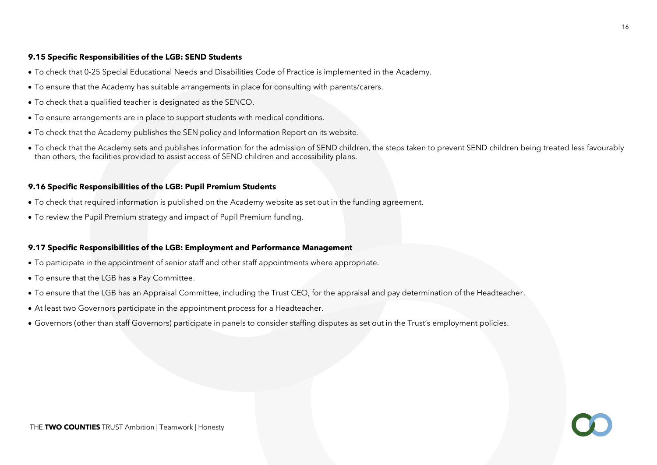## **9.15 Specific Responsibilities of the LGB: SEND Students**

- To check that 0-25 Special Educational Needs and Disabilities Code of Practice is implemented in the Academy.
- To ensure that the Academy has suitable arrangements in place for consulting with parents/carers.
- To check that a qualified teacher is designated as the SENCO.
- To ensure arrangements are in place to support students with medical conditions.
- To check that the Academy publishes the SEN policy and Information Report on its website.
- To check that the Academy sets and publishes information for the admission of SEND children, the steps taken to prevent SEND children being treated less favourably than others, the facilities provided to assist access of SEND children and accessibility plans.

#### **9.16 Specific Responsibilities of the LGB: Pupil Premium Students**

- To check that required information is published on the Academy website as set out in the funding agreement.
- To review the Pupil Premium strategy and impact of Pupil Premium funding.

#### **9.17 Specific Responsibilities of the LGB: Employment and Performance Management**

- To participate in the appointment of senior staff and other staff appointments where appropriate.
- To ensure that the LGB has a Pay Committee.
- To ensure that the LGB has an Appraisal Committee, including the Trust CEO, for the appraisal and pay determination of the Headteacher.
- At least two Governors participate in the appointment process for a Headteacher.
- Governors (other than staff Governors) participate in panels to consider staffing disputes as set out in the Trust's employment policies.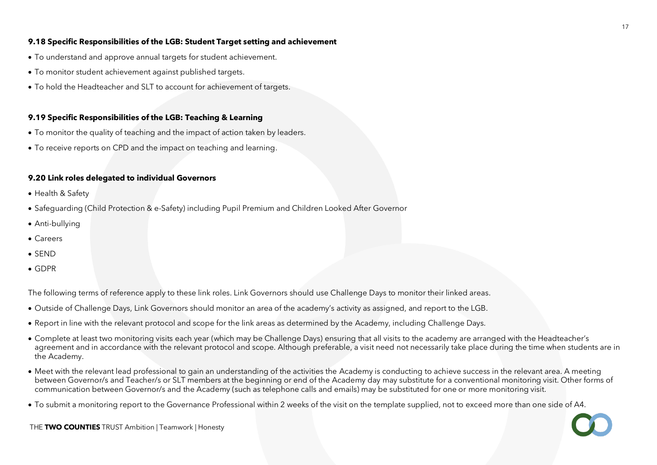#### **9.18 Specific Responsibilities of the LGB: Student Target setting and achievement**

- To understand and approve annual targets for student achievement.
- To monitor student achievement against published targets.
- To hold the Headteacher and SLT to account for achievement of targets.

# **9.19 Specific Responsibilities of the LGB: Teaching & Learning**

- To monitor the quality of teaching and the impact of action taken by leaders.
- To receive reports on CPD and the impact on teaching and learning.

## **9.20 Link roles delegated to individual Governors**

- Health & Safety
- Safeguarding (Child Protection & e-Safety) including Pupil Premium and Children Looked After Governor
- Anti-bullying
- Careers
- SEND
- GDPR

The following terms of reference apply to these link roles. Link Governors should use Challenge Days to monitor their linked areas.

- Outside of Challenge Days, Link Governors should monitor an area of the academy's activity as assigned, and report to the LGB.
- Report in line with the relevant protocol and scope for the link areas as determined by the Academy, including Challenge Days.
- Complete at least two monitoring visits each year (which may be Challenge Days) ensuring that all visits to the academy are arranged with the Headteacher's agreement and in accordance with the relevant protocol and scope. Although preferable, a visit need not necessarily take place during the time when students are in the Academy.
- Meet with the relevant lead professional to gain an understanding of the activities the Academy is conducting to achieve success in the relevant area. A meeting between Governor/s and Teacher/s or SLT members at the beginning or end of the Academy day may substitute for a conventional monitoring visit. Other forms of communication between Governor/s and the Academy (such as telephone calls and emails) may be substituted for one or more monitoring visit.
- To submit a monitoring report to the Governance Professional within 2 weeks of the visit on the template supplied, not to exceed more than one side of A4.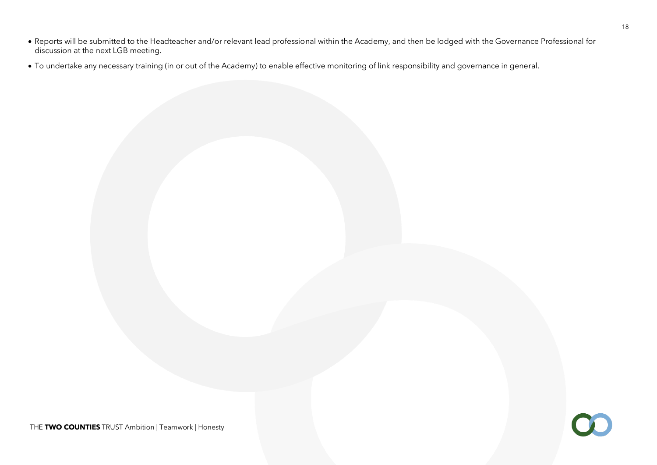- Reports will be submitted to the Headteacher and/or relevant lead professional within the Academy, and then be lodged with the Governance Professional for discussion at the next LGB meeting.
- To undertake any necessary training (in or out of the Academy) to enable effective monitoring of link responsibility and governance in general.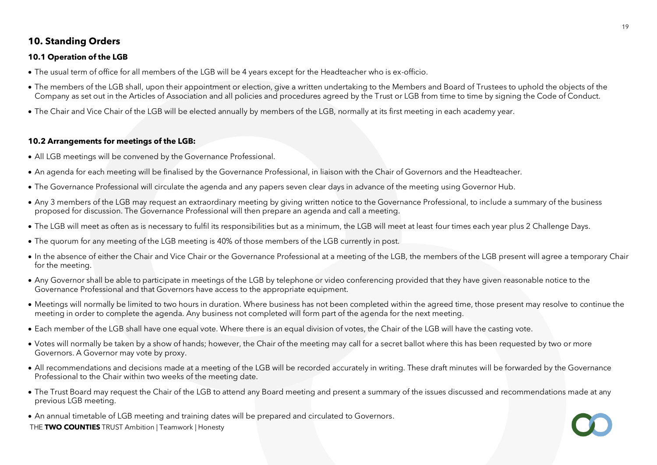# **10. Standing Orders**

# **10.1 Operation of the LGB**

- The usual term of office for all members of the LGB will be 4 years except for the Headteacher who is ex-officio.
- The members of the LGB shall, upon their appointment or election, give a written undertaking to the Members and Board of Trustees to uphold the objects of the Company as set out in the Articles of Association and all policies and procedures agreed by the Trust or LGB from time to time by signing the Code of Conduct.
- The Chair and Vice Chair of the LGB will be elected annually by members of the LGB, normally at its first meeting in each academy year.

## **10.2 Arrangements for meetings of the LGB:**

- All LGB meetings will be convened by the Governance Professional.
- An agenda for each meeting will be finalised by the Governance Professional, in liaison with the Chair of Governors and the Headteacher.
- The Governance Professional will circulate the agenda and any papers seven clear days in advance of the meeting using Governor Hub.
- Any 3 members of the LGB may request an extraordinary meeting by giving written notice to the Governance Professional, to include a summary of the business proposed for discussion. The Governance Professional will then prepare an agenda and call a meeting.
- The LGB will meet as often as is necessary to fulfil its responsibilities but as a minimum, the LGB will meet at least four times each year plus 2 Challenge Days.
- The quorum for any meeting of the LGB meeting is 40% of those members of the LGB currently in post.
- In the absence of either the Chair and Vice Chair or the Governance Professional at a meeting of the LGB, the members of the LGB present will agree a temporary Chair for the meeting.
- Any Governor shall be able to participate in meetings of the LGB by telephone or video conferencing provided that they have given reasonable notice to the Governance Professional and that Governors have access to the appropriate equipment.
- Meetings will normally be limited to two hours in duration. Where business has not been completed within the agreed time, those present may resolve to continue the meeting in order to complete the agenda. Any business not completed will form part of the agenda for the next meeting.
- Each member of the LGB shall have one equal vote. Where there is an equal division of votes, the Chair of the LGB will have the casting vote.
- Votes will normally be taken by a show of hands; however, the Chair of the meeting may call for a secret ballot where this has been requested by two or more Governors. A Governor may vote by proxy.
- All recommendations and decisions made at a meeting of the LGB will be recorded accurately in writing. These draft minutes will be forwarded by the Governance Professional to the Chair within two weeks of the meeting date.
- The Trust Board may request the Chair of the LGB to attend any Board meeting and present a summary of the issues discussed and recommendations made at any previous LGB meeting.
- An annual timetable of LGB meeting and training dates will be prepared and circulated to Governors.
- THE **TWO COUNTIES** TRUST Ambition | Teamwork | Honesty

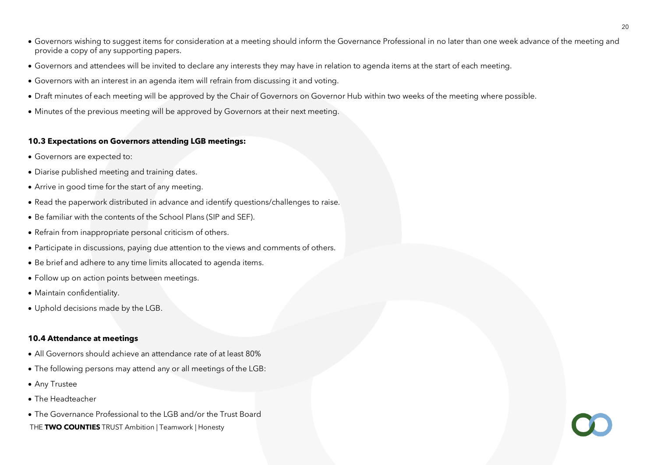- Governors wishing to suggest items for consideration at a meeting should inform the Governance Professional in no later than one week advance of the meeting and provide a copy of any supporting papers.
- Governors and attendees will be invited to declare any interests they may have in relation to agenda items at the start of each meeting.
- Governors with an interest in an agenda item will refrain from discussing it and voting.
- Draft minutes of each meeting will be approved by the Chair of Governors on Governor Hub within two weeks of the meeting where possible.
- Minutes of the previous meeting will be approved by Governors at their next meeting.

#### **10.3 Expectations on Governors attending LGB meetings:**

- Governors are expected to:
- Diarise published meeting and training dates.
- Arrive in good time for the start of any meeting.
- Read the paperwork distributed in advance and identify questions/challenges to raise.
- Be familiar with the contents of the School Plans (SIP and SEF).
- Refrain from inappropriate personal criticism of others.
- Participate in discussions, paying due attention to the views and comments of others.
- Be brief and adhere to any time limits allocated to agenda items.
- Follow up on action points between meetings.
- Maintain confidentiality.
- Uphold decisions made by the LGB.

# **10.4 Attendance at meetings**

- All Governors should achieve an attendance rate of at least 80%
- The following persons may attend any or all meetings of the LGB:
- Any Trustee
- The Headteacher
- THE **TWO COUNTIES** TRUST Ambition | Teamwork | Honesty • The Governance Professional to the LGB and/or the Trust Board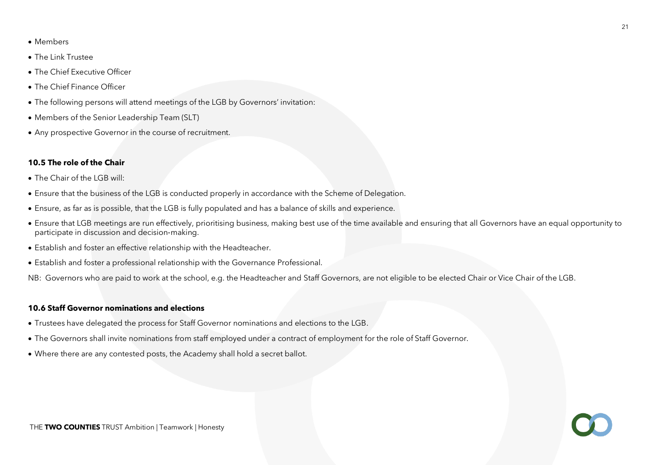- Members
- The Link Trustee
- The Chief Executive Officer
- The Chief Finance Officer
- The following persons will attend meetings of the LGB by Governors' invitation:
- Members of the Senior Leadership Team (SLT)
- Any prospective Governor in the course of recruitment.

#### **10.5 The role of the Chair**

- The Chair of the LGB will:
- Ensure that the business of the LGB is conducted properly in accordance with the Scheme of Delegation.
- Ensure, as far as is possible, that the LGB is fully populated and has a balance of skills and experience.
- Ensure that LGB meetings are run effectively, prioritising business, making best use of the time available and ensuring that all Governors have an equal opportunity to participate in discussion and decision‐making.
- Establish and foster an effective relationship with the Headteacher.
- Establish and foster a professional relationship with the Governance Professional.

NB: Governors who are paid to work at the school, e.g. the Headteacher and Staff Governors, are not eligible to be elected Chair or Vice Chair of the LGB.

#### **10.6 Staff Governor nominations and elections**

- Trustees have delegated the process for Staff Governor nominations and elections to the LGB.
- The Governors shall invite nominations from staff employed under a contract of employment for the role of Staff Governor.
- Where there are any contested posts, the Academy shall hold a secret ballot.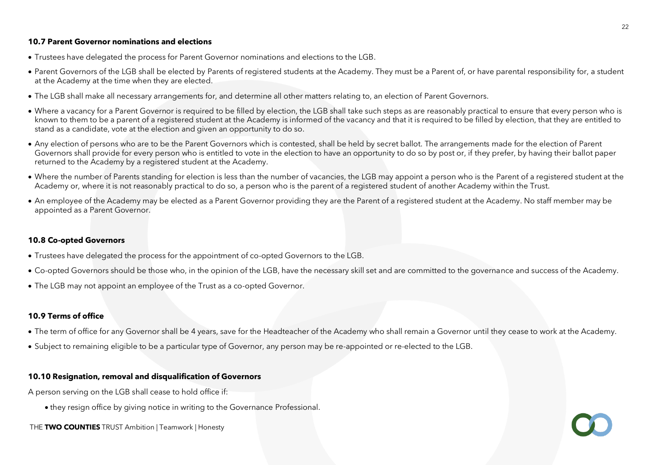#### **10.7 Parent Governor nominations and elections**

- Trustees have delegated the process for Parent Governor nominations and elections to the LGB.
- Parent Governors of the LGB shall be elected by Parents of registered students at the Academy. They must be a Parent of, or have parental responsibility for, a student at the Academy at the time when they are elected.
- The LGB shall make all necessary arrangements for, and determine all other matters relating to, an election of Parent Governors.
- Where a vacancy for a Parent Governor is required to be filled by election, the LGB shall take such steps as are reasonably practical to ensure that every person who is known to them to be a parent of a registered student at the Academy is informed of the vacancy and that it is required to be filled by election, that they are entitled to stand as a candidate, vote at the election and given an opportunity to do so.
- Any election of persons who are to be the Parent Governors which is contested, shall be held by secret ballot. The arrangements made for the election of Parent Governors shall provide for every person who is entitled to vote in the election to have an opportunity to do so by post or, if they prefer, by having their ballot paper returned to the Academy by a registered student at the Academy.
- Where the number of Parents standing for election is less than the number of vacancies, the LGB may appoint a person who is the Parent of a registered student at the Academy or, where it is not reasonably practical to do so, a person who is the parent of a registered student of another Academy within the Trust.
- An employee of the Academy may be elected as a Parent Governor providing they are the Parent of a registered student at the Academy. No staff member may be appointed as a Parent Governor.

#### **10.8 Co-opted Governors**

- Trustees have delegated the process for the appointment of co-opted Governors to the LGB.
- Co-opted Governors should be those who, in the opinion of the LGB, have the necessary skill set and are committed to the governance and success of the Academy.
- The LGB may not appoint an employee of the Trust as a co-opted Governor.

#### **10.9 Terms of office**

- The term of office for any Governor shall be 4 years, save for the Headteacher of the Academy who shall remain a Governor until they cease to work at the Academy.
- Subject to remaining eligible to be a particular type of Governor, any person may be re-appointed or re-elected to the LGB.

#### **10.10 Resignation, removal and disqualification of Governors**

A person serving on the LGB shall cease to hold office if:

- they resign office by giving notice in writing to the Governance Professional.
- THE **TWO COUNTIES** TRUST Ambition | Teamwork | Honesty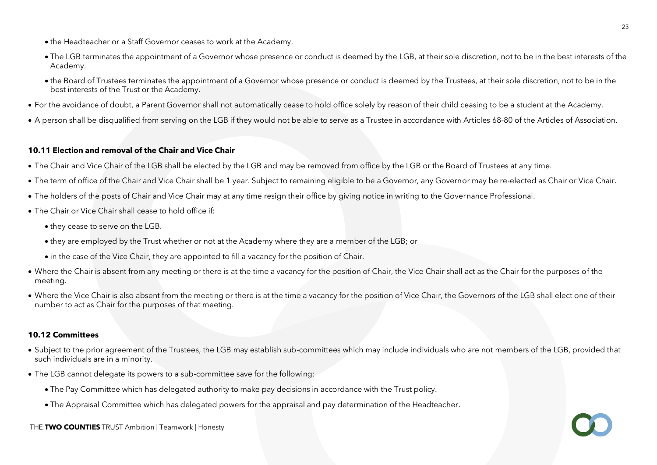- the Headteacher or a Staff Governor ceases to work at the Academy.
- The LGB terminates the appointment of a Governor whose presence or conduct is deemed by the LGB, at their sole discretion, not to be in the best interests of the Academy.
- the Board of Trustees terminates the appointment of a Governor whose presence or conduct is deemed by the Trustees, at their sole discretion, not to be in the best interests of the Trust or the Academy.
- For the avoidance of doubt, a Parent Governor shall not automatically cease to hold office solely by reason of their child ceasing to be a student at the Academy.
- A person shall be disqualified from serving on the LGB if they would not be able to serve as a Trustee in accordance with Articles 68-80 of the Articles of Association.

# **10.11 Election and removal of the Chair and Vice Chair**

- The Chair and Vice Chair of the LGB shall be elected by the LGB and may be removed from office by the LGB or the Board of Trustees at any time.
- The term of office of the Chair and Vice Chair shall be 1 year. Subject to remaining eligible to be a Governor, any Governor may be re-elected as Chair or Vice Chair.
- The holders of the posts of Chair and Vice Chair may at any time resign their office by giving notice in writing to the Governance Professional.
- The Chair or Vice Chair shall cease to hold office if:
	- they cease to serve on the LGB.
	- they are employed by the Trust whether or not at the Academy where they are a member of the LGB; or
	- in the case of the Vice Chair, they are appointed to fill a vacancy for the position of Chair.
- Where the Chair is absent from any meeting or there is at the time a vacancy for the position of Chair, the Vice Chair shall act as the Chair for the purposes of the meeting.
- Where the Vice Chair is also absent from the meeting or there is at the time a vacancy for the position of Vice Chair, the Governors of the LGB shall elect one of their number to act as Chair for the purposes of that meeting.

# **10.12 Committees**

- Subject to the prior agreement of the Trustees, the LGB may establish sub-committees which may include individuals who are not members of the LGB, provided that such individuals are in a minority.
- The LGB cannot delegate its powers to a sub-committee save for the following:
	- The Pay Committee which has delegated authority to make pay decisions in accordance with the Trust policy.
	- The Appraisal Committee which has delegated powers for the appraisal and pay determination of the Headteacher.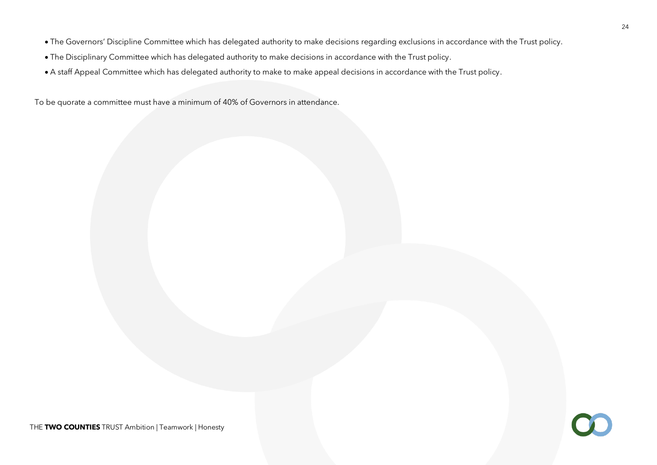- The Governors' Discipline Committee which has delegated authority to make decisions regarding exclusions in accordance with the Trust policy.
- The Disciplinary Committee which has delegated authority to make decisions in accordance with the Trust policy.
- A staff Appeal Committee which has delegated authority to make to make appeal decisions in accordance with the Trust policy.

To be quorate a committee must have a minimum of 40% of Governors in attendance.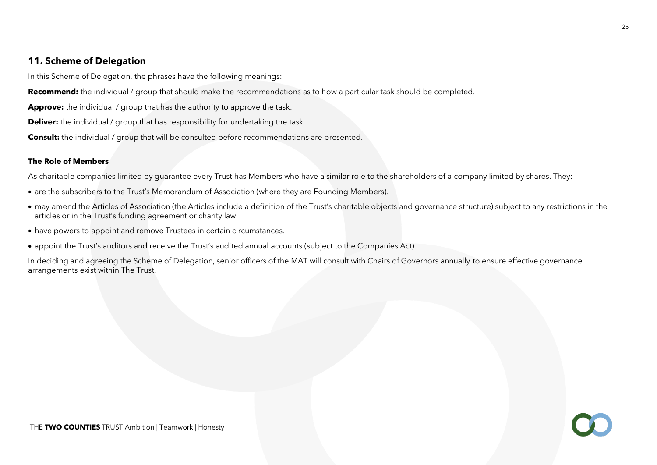# **11. Scheme of Delegation**

In this Scheme of Delegation, the phrases have the following meanings:

**Recommend:** the individual / group that should make the recommendations as to how a particular task should be completed.

**Approve:** the individual / group that has the authority to approve the task.

**Deliver:** the individual / group that has responsibility for undertaking the task.

**Consult:** the individual / group that will be consulted before recommendations are presented.

# **The Role of Members**

As charitable companies limited by quarantee every Trust has Members who have a similar role to the shareholders of a company limited by shares. They:

- are the subscribers to the Trust's Memorandum of Association (where they are Founding Members).
- may amend the Articles of Association (the Articles include a definition of the Trust's charitable objects and governance structure) subject to any restrictions in the articles or in the Trust's funding agreement or charity law.
- have powers to appoint and remove Trustees in certain circumstances.
- appoint the Trust's auditors and receive the Trust's audited annual accounts (subject to the Companies Act).

In deciding and agreeing the Scheme of Delegation, senior officers of the MAT will consult with Chairs of Governors annually to ensure effective governance arrangements exist within The Trust.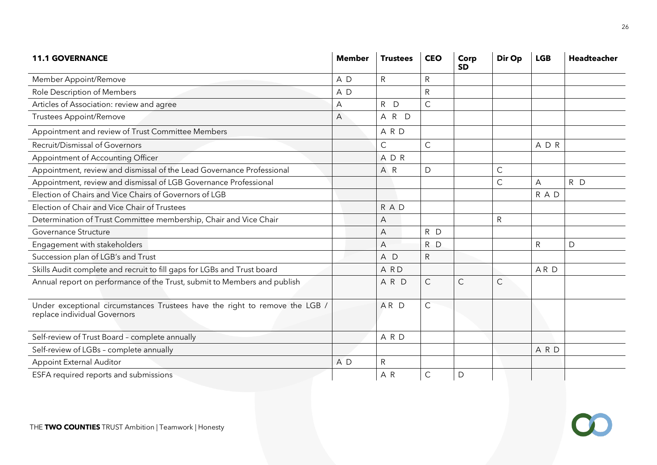| <b>11.1 GOVERNANCE</b>                                                                                      | <b>Member</b> | <b>Trustees</b> | <b>CEO</b>   | Corp<br><b>SD</b> | Dir Op      | <b>LGB</b>   | <b>Headteacher</b> |
|-------------------------------------------------------------------------------------------------------------|---------------|-----------------|--------------|-------------------|-------------|--------------|--------------------|
| Member Appoint/Remove                                                                                       | A D           | $\mathsf{R}$    | $\mathsf{R}$ |                   |             |              |                    |
| Role Description of Members                                                                                 | A D           |                 | ${\sf R}$    |                   |             |              |                    |
| Articles of Association: review and agree                                                                   | А             | R D             | $\mathsf{C}$ |                   |             |              |                    |
| <b>Trustees Appoint/Remove</b>                                                                              | Α             | A R D           |              |                   |             |              |                    |
| Appointment and review of Trust Committee Members                                                           |               | A R D           |              |                   |             |              |                    |
| Recruit/Dismissal of Governors                                                                              |               | $\mathsf{C}$    | $\mathsf{C}$ |                   |             | A D R        |                    |
| Appointment of Accounting Officer                                                                           |               | ADR             |              |                   |             |              |                    |
| Appointment, review and dismissal of the Lead Governance Professional                                       |               | A R             | $\mathsf D$  |                   | $\mathsf C$ |              |                    |
| Appointment, review and dismissal of LGB Governance Professional                                            |               |                 |              |                   | C           | A            | R D                |
| Election of Chairs and Vice Chairs of Governors of LGB                                                      |               |                 |              |                   |             | R A D        |                    |
| Election of Chair and Vice Chair of Trustees                                                                |               | R A D           |              |                   |             |              |                    |
| Determination of Trust Committee membership, Chair and Vice Chair                                           |               | A               |              |                   | ${\sf R}$   |              |                    |
| Governance Structure                                                                                        |               | A               | R D          |                   |             |              |                    |
| Engagement with stakeholders                                                                                |               | A               | R D          |                   |             | $\mathsf{R}$ | D                  |
| Succession plan of LGB's and Trust                                                                          |               | A D             | $\mathsf R$  |                   |             |              |                    |
| Skills Audit complete and recruit to fill gaps for LGBs and Trust board                                     |               | A RD            |              |                   |             | ARD          |                    |
| Annual report on performance of the Trust, submit to Members and publish                                    |               | ARD             | $\mathsf{C}$ | $\mathsf{C}$      | Ć           |              |                    |
| Under exceptional circumstances Trustees have the right to remove the LGB /<br>replace individual Governors |               | AR D            | $\mathsf C$  |                   |             |              |                    |
| Self-review of Trust Board - complete annually                                                              |               | A R D           |              |                   |             |              |                    |
| Self-review of LGBs - complete annually                                                                     |               |                 |              |                   |             | A R D        |                    |
| <b>Appoint External Auditor</b>                                                                             | A D           | ${\sf R}$       |              |                   |             |              |                    |
| ESFA required reports and submissions                                                                       |               | AR              | $\mathsf C$  | D                 |             |              |                    |

 $\bigcirc$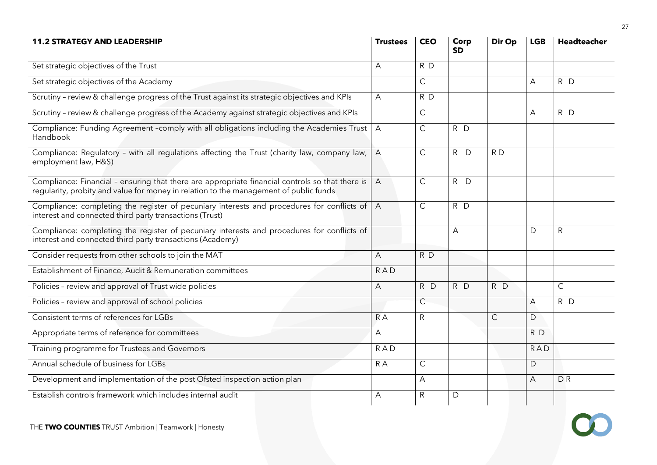| <b>11.2 STRATEGY AND LEADERSHIP</b>                                                                                                                                                      | <b>Trustees</b> | <b>CEO</b>     | Corp<br><b>SD</b> | Dir Op       | <b>LGB</b> | <b>Headteacher</b> |
|------------------------------------------------------------------------------------------------------------------------------------------------------------------------------------------|-----------------|----------------|-------------------|--------------|------------|--------------------|
| Set strategic objectives of the Trust                                                                                                                                                    | A               | RD             |                   |              |            |                    |
| Set strategic objectives of the Academy                                                                                                                                                  |                 | $\mathsf{C}$   |                   |              | A          | $R$ D              |
| Scrutiny - review & challenge progress of the Trust against its strategic objectives and KPIs                                                                                            | A               | $R$ D          |                   |              |            |                    |
| Scrutiny - review & challenge progress of the Academy against strategic objectives and KPIs                                                                                              |                 | $\mathsf{C}$   |                   |              | A          | R D                |
| Compliance: Funding Agreement -comply with all obligations including the Academies Trust<br>Handbook                                                                                     | $\overline{A}$  | $\mathsf{C}$   | R D               |              |            |                    |
| Compliance: Regulatory - with all regulations affecting the Trust (charity law, company law,<br>employment law, H&S)                                                                     | $\overline{A}$  | $\mathsf{C}$   | $R$ $D$           | RD           |            |                    |
| Compliance: Financial - ensuring that there are appropriate financial controls so that there is<br>regularity, probity and value for money in relation to the management of public funds | $\overline{A}$  | $\mathsf{C}$   | $R$ D             |              |            |                    |
| Compliance: completing the register of pecuniary interests and procedures for conflicts of<br>interest and connected third party transactions (Trust)                                    | $\overline{A}$  | C              | R D               |              |            |                    |
| Compliance: completing the register of pecuniary interests and procedures for conflicts of<br>interest and connected third party transactions (Academy)                                  |                 |                | A                 |              | D          | $\mathsf{R}$       |
| Consider requests from other schools to join the MAT                                                                                                                                     | A               | R D            |                   |              |            |                    |
| Establishment of Finance, Audit & Remuneration committees                                                                                                                                | <b>RAD</b>      |                |                   |              |            |                    |
| Policies - review and approval of Trust wide policies                                                                                                                                    | $\overline{A}$  | R D            | $R$ D             | $R$ D        |            | $\mathsf{C}$       |
| Policies - review and approval of school policies                                                                                                                                        |                 | $\overline{C}$ |                   |              | A          | $R$ D              |
| Consistent terms of references for LGBs                                                                                                                                                  | $R^A$           | R.             |                   | $\mathsf{C}$ | D          |                    |
| Appropriate terms of reference for committees                                                                                                                                            | A               |                |                   |              | R D        |                    |
| Training programme for Trustees and Governors                                                                                                                                            | <b>RAD</b>      |                |                   |              | <b>RAD</b> |                    |
| Annual schedule of business for LGBs                                                                                                                                                     | R A             | C              |                   |              | D          |                    |
| Development and implementation of the post Ofsted inspection action plan                                                                                                                 |                 | Α              |                   |              | A          | <b>DR</b>          |
| Establish controls framework which includes internal audit                                                                                                                               | A               | R              | D                 |              |            |                    |

 $\bullet$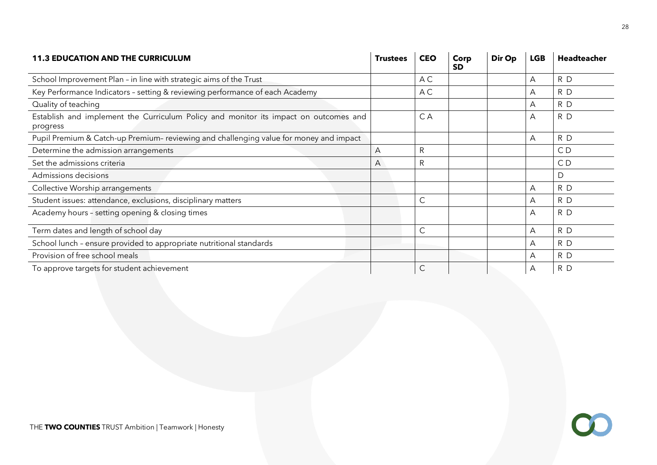| <b>11.3 EDUCATION AND THE CURRICULUM</b>                                                         | <b>Trustees</b> | <b>CEO</b>   | Corp<br><b>SD</b> | Dir Op | <b>LGB</b> | Headteacher |
|--------------------------------------------------------------------------------------------------|-----------------|--------------|-------------------|--------|------------|-------------|
| School Improvement Plan - in line with strategic aims of the Trust                               |                 | A C          |                   |        | A          | R D         |
| Key Performance Indicators - setting & reviewing performance of each Academy                     |                 | A C          |                   |        | A          | R D         |
| Quality of teaching                                                                              |                 |              |                   |        | A          | R D         |
| Establish and implement the Curriculum Policy and monitor its impact on outcomes and<br>progress |                 | C A          |                   |        | A          | R D         |
| Pupil Premium & Catch-up Premium- reviewing and challenging value for money and impact           |                 |              |                   |        | A          | R D         |
| Determine the admission arrangements                                                             | A               | $\mathsf R$  |                   |        |            | CD          |
| Set the admissions criteria                                                                      | A               | $\mathsf{R}$ |                   |        |            | CD          |
| Admissions decisions                                                                             |                 |              |                   |        |            | D           |
| Collective Worship arrangements                                                                  |                 |              |                   |        | A          | R D         |
| Student issues: attendance, exclusions, disciplinary matters                                     |                 | $\mathsf{C}$ |                   |        | A          | R D         |
| Academy hours - setting opening & closing times                                                  |                 |              |                   |        | A          | R D         |
| Term dates and length of school day                                                              |                 | C            |                   |        | A          | R D         |
| School lunch - ensure provided to appropriate nutritional standards                              |                 |              |                   |        | A          | R D         |
| Provision of free school meals                                                                   |                 |              |                   |        | A          | R D         |
| To approve targets for student achievement                                                       |                 | C            |                   |        | A          | R D         |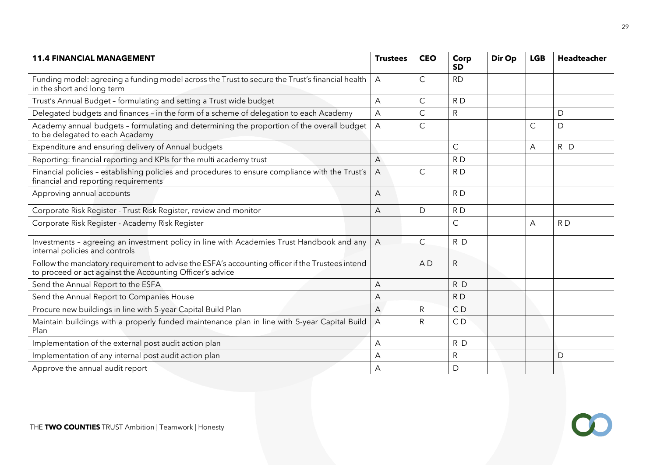| <b>11.4 FINANCIAL MANAGEMENT</b>                                                                                                                             | <b>Trustees</b> | <b>CEO</b>     | Corp<br><b>SD</b> | Dir Op | <b>LGB</b> | <b>Headteacher</b> |
|--------------------------------------------------------------------------------------------------------------------------------------------------------------|-----------------|----------------|-------------------|--------|------------|--------------------|
| Funding model: agreeing a funding model across the Trust to secure the Trust's financial health<br>in the short and long term                                | $\overline{A}$  | $\mathsf C$    | <b>RD</b>         |        |            |                    |
| Trust's Annual Budget - formulating and setting a Trust wide budget                                                                                          | А               | $\mathsf{C}$   | R <sub>D</sub>    |        |            |                    |
| Delegated budgets and finances - in the form of a scheme of delegation to each Academy                                                                       | A               | $\mathsf C$    | ${\sf R}$         |        |            | $\mathsf D$        |
| Academy annual budgets - formulating and determining the proportion of the overall budget  <br>to be delegated to each Academy                               | $\overline{A}$  | $\mathsf{C}$   |                   |        | C          | D                  |
| Expenditure and ensuring delivery of Annual budgets                                                                                                          |                 |                | $\mathsf C$       |        | A          | R D                |
| Reporting: financial reporting and KPIs for the multi academy trust                                                                                          | Α               |                | RD                |        |            |                    |
| Financial policies - establishing policies and procedures to ensure compliance with the Trust's<br>financial and reporting requirements                      | A               | $\mathsf{C}$   | RD                |        |            |                    |
| Approving annual accounts                                                                                                                                    | A               |                | RD                |        |            |                    |
| Corporate Risk Register - Trust Risk Register, review and monitor                                                                                            | A               | D              | RD                |        |            |                    |
| Corporate Risk Register - Academy Risk Register                                                                                                              |                 |                | $\mathsf{C}$      |        | А          | RD                 |
| Investments - agreeing an investment policy in line with Academies Trust Handbook and any<br>internal policies and controls                                  | $\overline{A}$  | $\mathsf C$    | RD                |        |            |                    |
| Follow the mandatory requirement to advise the ESFA's accounting officer if the Trustees intend<br>to proceed or act against the Accounting Officer's advice |                 | A <sub>D</sub> | ${\sf R}$         |        |            |                    |
| Send the Annual Report to the ESFA                                                                                                                           | A               |                | R D               |        |            |                    |
| Send the Annual Report to Companies House                                                                                                                    | А               |                | R <sub>D</sub>    |        |            |                    |
| Procure new buildings in line with 5-year Capital Build Plan                                                                                                 | A               | R              | CD                |        |            |                    |
| Maintain buildings with a properly funded maintenance plan in line with 5-year Capital Build<br>Plan                                                         | $\overline{A}$  | ${\sf R}$      | CD                |        |            |                    |
| Implementation of the external post audit action plan                                                                                                        | Α               |                | R D               |        |            |                    |
| Implementation of any internal post audit action plan                                                                                                        | А               |                | ${\sf R}$         |        |            | $\mathsf{D}$       |
| Approve the annual audit report                                                                                                                              | A               |                | D                 |        |            |                    |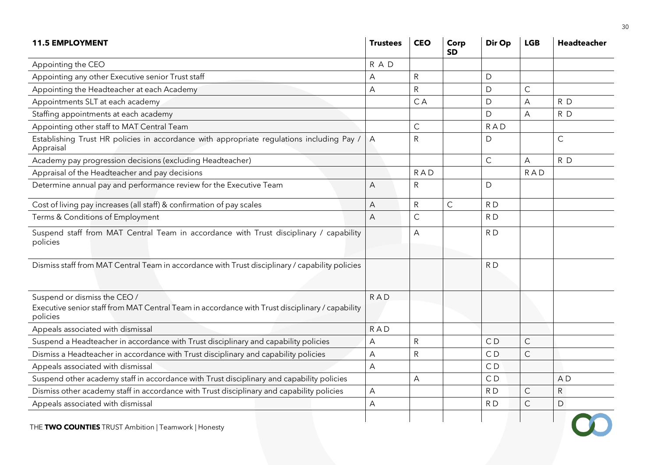| <b>11.5 EMPLOYMENT</b>                                                                                                                      | <b>Trustees</b> | <b>CEO</b>   | Corp<br><b>SD</b> | Dir Op         | <b>LGB</b>   | <b>Headteacher</b> |
|---------------------------------------------------------------------------------------------------------------------------------------------|-----------------|--------------|-------------------|----------------|--------------|--------------------|
| Appointing the CEO                                                                                                                          | R A D           |              |                   |                |              |                    |
| Appointing any other Executive senior Trust staff                                                                                           | A               | ${\sf R}$    |                   | D              |              |                    |
| Appointing the Headteacher at each Academy                                                                                                  | A               | ${\sf R}$    |                   | $\mathsf{D}$   | $\mathsf C$  |                    |
| Appointments SLT at each academy                                                                                                            |                 | C A          |                   | D              | А            | R D                |
| Staffing appointments at each academy                                                                                                       |                 |              |                   | D              | A            | R D                |
| Appointing other staff to MAT Central Team                                                                                                  |                 | $\mathsf{C}$ |                   | <b>RAD</b>     |              |                    |
| Establishing Trust HR policies in accordance with appropriate regulations including Pay /<br>Appraisal                                      | A               | $\mathsf{R}$ |                   | $\mathsf{D}$   |              | $\mathsf{C}$       |
| Academy pay progression decisions (excluding Headteacher)                                                                                   |                 |              |                   | $\mathsf{C}$   | A            | RD                 |
| Appraisal of the Headteacher and pay decisions                                                                                              |                 | <b>RAD</b>   |                   |                | <b>RAD</b>   |                    |
| Determine annual pay and performance review for the Executive Team                                                                          | A               | $\mathsf R$  |                   | D              |              |                    |
| Cost of living pay increases (all staff) & confirmation of pay scales                                                                       | A               | ${\sf R}$    | $\mathsf C$       | RD             |              |                    |
| Terms & Conditions of Employment                                                                                                            | $\overline{A}$  | C            |                   | RD             |              |                    |
| Suspend staff from MAT Central Team in accordance with Trust disciplinary / capability<br>policies                                          |                 | A            |                   | RD             |              |                    |
| Dismiss staff from MAT Central Team in accordance with Trust disciplinary / capability policies                                             |                 |              |                   | R <sub>D</sub> |              |                    |
| Suspend or dismiss the CEO /<br>Executive senior staff from MAT Central Team in accordance with Trust disciplinary / capability<br>policies | <b>RAD</b>      |              |                   |                |              |                    |
| Appeals associated with dismissal                                                                                                           | <b>RAD</b>      |              |                   |                |              |                    |
| Suspend a Headteacher in accordance with Trust disciplinary and capability policies                                                         | A               | ${\sf R}$    |                   | C <sub>D</sub> | $\mathsf C$  |                    |
| Dismiss a Headteacher in accordance with Trust disciplinary and capability policies                                                         | A               | $\mathsf{R}$ |                   | CD             | $\mathsf{C}$ |                    |
| Appeals associated with dismissal                                                                                                           | A               |              |                   | CD             |              |                    |
| Suspend other academy staff in accordance with Trust disciplinary and capability policies                                                   |                 | A            |                   | CD             |              | A <sub>D</sub>     |
| Dismiss other academy staff in accordance with Trust disciplinary and capability policies                                                   | A               |              |                   | RD             | $\mathsf C$  | ${\sf R}$          |
| Appeals associated with dismissal                                                                                                           | A               |              |                   | RD             | $\mathsf{C}$ | $\mathsf{D}$       |
| THE TWO COUNTIES TRUST Ambition   Teamwork   Honesty                                                                                        |                 |              |                   |                |              |                    |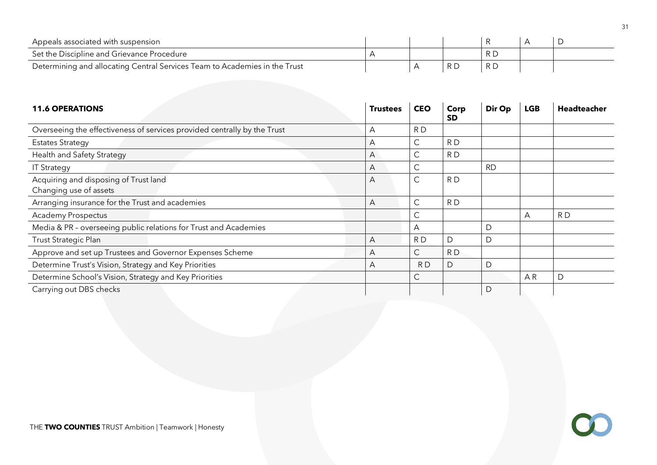| Appeals associated with suspension                                         |  |  |  |
|----------------------------------------------------------------------------|--|--|--|
| Set the Discipline and Grievance Procedure                                 |  |  |  |
| Determining and allocating Central Services Team to Academies in the Trust |  |  |  |

| <b>11.6 OPERATIONS</b>                                                   | <b>Trustees</b> | <b>CEO</b>   | Corp<br><b>SD</b> | Dir Op    | <b>LGB</b> | <b>Headteacher</b> |
|--------------------------------------------------------------------------|-----------------|--------------|-------------------|-----------|------------|--------------------|
| Overseeing the effectiveness of services provided centrally by the Trust | A               | RD           |                   |           |            |                    |
| <b>Estates Strategy</b>                                                  | A               | $\mathsf{C}$ | RD                |           |            |                    |
| Health and Safety Strategy                                               | $\mathsf{A}$    | C            | RD                |           |            |                    |
| <b>IT Strategy</b>                                                       | A               | C            |                   | <b>RD</b> |            |                    |
| Acquiring and disposing of Trust land<br>Changing use of assets          | $\mathsf{A}$    | $\mathsf{C}$ | RD                |           |            |                    |
| Arranging insurance for the Trust and academies                          | A               | $\mathsf{C}$ | RD                |           |            |                    |
| <b>Academy Prospectus</b>                                                |                 | $\mathsf{C}$ |                   |           | А          | RD                 |
| Media & PR - overseeing public relations for Trust and Academies         |                 | А            |                   | D         |            |                    |
| Trust Strategic Plan                                                     | A               | RD           | D                 | D         |            |                    |
| Approve and set up Trustees and Governor Expenses Scheme                 | A               | $\mathsf{C}$ | RD                |           |            |                    |
| Determine Trust's Vision, Strategy and Key Priorities                    | A               | RD.          | D                 | D         |            |                    |
| Determine School's Vision, Strategy and Key Priorities                   |                 | $\mathsf{C}$ |                   |           | AR         | D                  |
| Carrying out DBS checks                                                  |                 |              |                   | D         |            |                    |

 $\bullet$